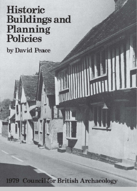# **Historic Buildings and Planning**<br>**Policies**

by David Peace

**1979 Council for British Archaeology** 

111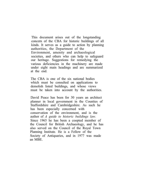This document arises out of the longstanding concern of the CBA for historic buildings of all kinds. It serves as a guide to action by planning authorities, the Department of the Environment, amenity and archaeological societies, and others who can help to safeguard our heritage. Suggestions for remedying the various deficiencies in the machinery are made under eight main headings and are summarized at the end.

The CBA is one of the six national bodies which must be consulted on applications to demolish listed buildings, and whose views must be taken into account by the authorities.

David Peace has been for 30 years an architect planner in local government in the Counties of Staffordshire and Cambridgeshire. As such he has been especially concerned with conservation of the environment, and is the author of *A guide to historic buildings law.* Since 1965 he has been a coopted member of the Council for British Archaeology, and he has also served on the Council of the Royal Town Planning Institute. He is a Fellow of the Society of Antiquaries, and in 1977 was made an MBE.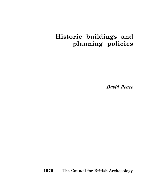# **Historic buildings and planning policies**

*David Peace*

**1979 The Council for British Archaeology**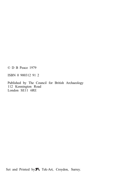© D B Peace 1979

ISBN 0 900312 91 2

Published by The Council for British Archaeology 112 Kennington Road London SE11 6RE

Set and Printed by  $\blacktriangleright$  Tek-Art, Croydon, Surrey.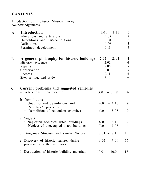# **CONTENTS**

|              | Introduction by Professor Maurice Barley<br>Acknowledgements                                                                       |                                                       | 1<br>$\mathbf{1}$                                                 |
|--------------|------------------------------------------------------------------------------------------------------------------------------------|-------------------------------------------------------|-------------------------------------------------------------------|
| $\mathbf{A}$ | <b>Introduction</b><br>Alterations and extensions<br>Demolitions and part-demolitions<br>Definitions<br>Permitted development      | $1.01 - 1.11$<br>1.05<br>1.08<br>1.09<br>1.11         | $\overline{c}$<br>$\begin{array}{c} 2 \\ 3 \\ 3 \\ 3 \end{array}$ |
| B            | A general philosophy for historic buildings<br>Historic evidence<br>Repairs<br>Conservation<br>Records<br>Site, setting, and scale | $2.01 - 2.14$<br>2.02<br>2.05<br>2.07<br>2.11<br>2.12 | 4<br>4<br>$\mathfrak{S}$<br>5<br>6<br>6                           |
| C            | Current problems and suggested remedies<br>a Alterations, unauthorized                                                             | $3.01 - 3.19$                                         | 6                                                                 |
|              | Demolitions<br>b.<br>i Unauthorized demolitions and<br>'curtilage' problems<br>ii Demolition of redundant churches                 | $4.01 - 4.13$<br>$5.01 - 5.08$                        | 9<br>10                                                           |
|              | c Neglect<br>i Neglected occupied listed buildings<br>ii Neglect of unoccupied listed buildings                                    | $6.01 - 6.19$<br>$7.01 - 7.08$                        | 12<br>14                                                          |
|              | d Dangerous Structure and similar Notices                                                                                          | $8.01 - 8.15$                                         | 15                                                                |
|              | Discovery of historic features during<br>e<br>progress of authorized work                                                          | $9.01 - 9.09$                                         | 16                                                                |
|              | Destruction of historic building materials<br>f                                                                                    | $10.01 - 10.04$                                       | 17                                                                |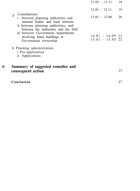|                                                        | Conclusion                                                                                                                                                                                                        |                                          | 27 |
|--------------------------------------------------------|-------------------------------------------------------------------------------------------------------------------------------------------------------------------------------------------------------------------|------------------------------------------|----|
| Summary of suggested remedies and<br>consequent action |                                                                                                                                                                                                                   |                                          | 23 |
|                                                        | h Planning administration<br><i>i</i> Pre-application<br>ii Applications                                                                                                                                          |                                          |    |
|                                                        | national bodies and local interests<br>ii between planning authorities; and<br>between the authorities and the DoE<br>iii between Government departments<br>involving listed buildings in<br>Government ownership | $14.01 - 14.09$ 21<br>$15.01 - 15.05$ 22 |    |
| g                                                      | Consultations<br>between planning authorities and<br>$1 \quad$                                                                                                                                                    | $13.01 - 13.06$                          | 20 |
|                                                        |                                                                                                                                                                                                                   | $12.01 - 12.11$                          | 19 |
|                                                        |                                                                                                                                                                                                                   | $11.01 - 11.11$                          | 18 |

**D**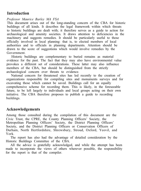# **Introduction**

#### *Professor Maurice Barley MA FSA*

This document arises out of the long-standing concern of the CBA for historic buildings of all kinds. It describes the legal framework within which threats to historic buildings are dealt with; it therefore serves as a guide to action for archaeological and amenity societies. It draws attention to deficiencies in the machinery and suggests remedies. It should be particularly useful to those officially involved in local planning: that is, to elected members of local authorities and to officials in planning departments. Attention should be drawn to the score of suggestions which would involve remedies by the Government.

Historic buildings are complementary to buried remains as material evidence for the past. The fact that they may also have environmental value provokes a different set of considerations. These latter may also influence members of the CBA, but should be distinguished from the strictly archaeological concern over threats to evidence.

National concern for threatened sites has led recently to the creation of organizations responsible for compiling sites and monuments surveys and for excavating those which cannot be saved. Buildings call for an equally comprehensive scheme for recording them. This is likely, in the foreseeable future, to be left largely to individuals and local groups acting on their own initiative. The CBA therefore proposes to publish a guide to recording buildings.

# **Acknowledgements**

Among those consulted during the compilation of this document are the Civic Trust, the CPRE, the County Planning Officers' Society, the Metropolitan Planning Officers' Society, the District Planning Officers' Society, and the District Planning Officers or Conservation Officers of Durham, North Hertfordshire, Shrewsbury, Stroud, Oxford, Yeovil, and York.

The report has also had the advantage of detailed consideration by the Historic Buildings Committee of the CBA.

All the advice is gratefully acknowledged, and while the attempt has been made to incorporate the views of others wherever possible, the responsibility for the report is that of the compiler.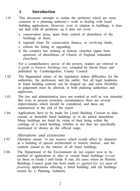# **A Introduction**

- 1.01 This document attempts to isolate the problems which are most common in a planning authority's work in dealing with listed building applications. However, even in relation to buildings, it does not deal with all problems: eg it does not cover:
	- a conservation areas, apart from control of demolition of the buildings in them;
	- b regional trusts for conservation finance, or revolving funds;
	- c criteria for listing or upgrading;
	- d the complex law relating to historic churches (apart from questions of demolitions of Church of England redundant churches).

For a comprehensive survey of the powers, readers are referred to *A guide to historic buildings law,* compiled by David Peace and published by Cambridgeshire County Council.

- 1.02 The fragmented nature of the legislation makes difficulties for the authorities, the profession, and the public. Not all legal loopholes in listed building controls can be stopped up, and some flexibility in judgement must be allowed, to both planning authorities and applicants.
- 1.03 The law and administration have not worked as well as was intended. But even in present economic circumstances there are several improvements which should be considered, and these are summarized at the end of the report.
- 1.04 Applications have to be made for Listed Building Consent to alter, extend, or demolish listed buildings or to do partial demolition. Many buildings are listed by virtue of their being within the curtilage of a listed building, whether or not they are specifically mentioned or shown on the official maps.

# *Alterations and extensions*

- 1.05 Alteration means *'in any manner* which would affect its character as a building of special architectural or historic interest', and the controls extend to the interior of all listed buildings.
- 1.06 The Department of the Environment do not require now to be notified of applications to alter or extend listed buildings *except* (a) those in Grade I and Grade II star; (b) cases where an Historic Buildings Council grant has been made *or applied for;* (c) cases of *planning* applications affecting a listed building; and (d) buildings owned by a Planning Authority.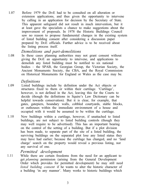1.07 Before 1979 the DOE had to be consulted on all alteration or extension applications, and thus given the opportunity to intervene by calling in an application for decision by the Secretary of State. This apparent safeguard did not result in much intervention, but it at least gave the specialists a chance to make suggestions about the improvement of proposals. In 1978 the Historic Buildings Council saw no reason to propose fundamental changes in the existing system of listed building consent after considering a discussion paper prepared by DOE officials. Further advice is to be received about the listing process itself.

## *Demolitions and part-demolitions*

1.08 In these cases planning authorities may not grant consent without giving the DOE an opportunity to intervene, and applications to demolish any listed building must be notified to six national bodies – the SPAB, the Georgian Group, the Victorian Society, the Ancient Monuments Society, the CBA, and the Royal Commission on Historical Monuments for England or Wales as the case may be.

#### *Definitions*

- 1.09 Listed buildings include by definition under the Act objects or structures fixed to them or within their curtilage. 'Curtilage', however, is not defined in the Act, leaving this for the Courts to decide (though the definitions in Squire's Law Dictionary can be helpful towards conservation). But it is clear, for example, that gates, gatepiers, boundary walls, cobbled courtyards, stable blocks, or outhouses within the immediate environment of a house and occupied with it would be assumed to be within the curtilage.
- 1.10 New buildings within a curtilage, however, if unattached to listed buildings, are not subject to listed building controls (though they may well require to be advertised). This has an important bearing on the control of the setting of a building. But if a plot division has been made, to separate part of the site of a listed building, the surviving buildings on the separated plot lose any listed status they may have had earlier; because the curtilage has changed, and no 'land charge' search on the property would reveal a previous listing, nor any survival of one.

## *Permitted development*

1.11 While there are certain freedoms from the need for an applicant to get *planning* permission (arising from the General Development Order which provides for permitted development) he may still need *listed building consent* if he wants to alter the historic character of a building 'in any manner'. Many works to historic buildings which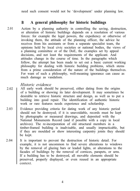need such consent would not be 'development' under planning law.

# **B A general philosophy for historic buildings**

2.01 Action by a planning authority in controlling the saving, destruction, or alteration of historic buildings depends on a resolution of various forces: for example the legal powers, the expediency or otherwise of invoking them, the attitude of the planning officer, the advice he receives from his assistants or from a separate specialist team, the opinions held by local civic societies or national bodies, the views of a planning committee or of the DoE, the examples set by appeal decisions, and not least the requirements of the applicant. And attitudes change in the course of time. In the paragraphs which follow, the attempt has been made to set out a basic current working philosophy for dealing with historic building problems, which stems from a prime consideration of the nature of the buildings themselves. For want of such a philosophy, well-meaning ignorance can cause as much damage as vandalism.

#### *Historic evidence*

- 2.02 All early work should be preserved, either dating from the origins of a building or showing its later development. It may sometimes be desirable to retrieve historic structure and design, as well as to put a building into good repair. The identification of authentic historic work or rare features needs experience and scholarship.
- 2.03 Evidence providing criteria for dating work of any historic period should not be destroyed; if it is unavoidable, records must be kept by photographs or measured drawings, and deposited with the National Monuments Record (and if possible with a copy in local archives). The re-incorporation of old structural members in a timber-framed building is inadvisable, and usually impracticable, but if they are moulded or show interesting carpentry joints they should be kept.
- 2.04 It is important to prevent the destruction of historic detail. For example, it is not uncommon to find severe alterations to windows by the removal of glazing bars or leaded lights, or alterations to the facades of buildings by the removal of cornices, parapets, or urns. If a building has to be destroyed, all movable elements should be preserved, properly displayed, or even reused in an appropriate context.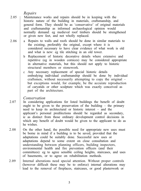*Repairs*

2.06

2.05 Maintenance works and repairs should be in keeping with the historic nature of the building in materials, craftsmanship, and general form. They should be as 'conservative' of original materials and craftsmanship as informed archaeological opinion would normally demand: eg medieval roof timbers should be strengthened or given new feet, and not wholly replaced.

- a Repairs to walls and roofs should be done in similar materials to the existing, preferably the original, except where it is considered necessary to have clear evidence of what work is old and what is new: eg tile stitching in an old tower.
	- b Replacement of historic decorative details where extensive and repetitive (eg in wooden cornices) may be considered appropriate in alternative materials, but this should not apply to historic structural members or stonework.
	- c Any necessary replacement of special historic details embodying individual craftsmanship should be done by individual craftsmen, without necessarily attempting to copy the original – but exceptions would, for example, be the accurate reproduction of caryatids or other sculpture which was exactly conceived as part of the architecture.

#### *Conservation*

- 2.07 In considering applications for listed buildings the benefit of doubt ought to be given to the preservation of the building  $-$  the primary need to keep its architectural or historic interest – and the applicant's personal predilections should be regarded as secondary, ie as distinct from those ordinary development control decisions in which any benefit of doubt would be given to the applicant to do as he wishes.
- 2.08 On the other hand, the possible need for appropriate new uses must be borne in mind if a building is to be saved, provided that the adaptations could be suitably done. Successful new uses or adaptations depend to some extent on close consultation and understanding between planning officers, building inspectors, environmental health and fire prevention officers (and their committees): eg to agree sensible ceiling heights, staircases, and uses of basements, or to agree on rehabilitation methods.
- 2.09 Internal alterations need special attention. Without proper controls (however difficult these may be to enforce) internal alterations may lead to the removal of fireplaces, staircases, or good plasterwork or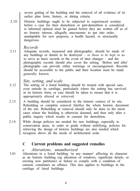severe gutting of the building and the removal of all evidence of its earlier plan form, history, or dating criteria.

2.10 Historic buildings ought to be subjected to experienced scrutiny before a case for their demolition or part-demolition is considered; ie informed opinion must be gained before they are written off as of no historic interest, allegedly uneconomic to put into order, unadaptable for new purposes, a health hazard, or structurally dangerous.

# *Records*

2.11 Adequate records, measured and photographic, should be made of any buildings or details to be destroyed – *or those to be kept so* as to serve as basic records in the event of later changes – and the photographic records should also cover the setting. 'Before and after' photographs can provide either warnings or encouragement. Records should be accessible to the public and their location must be made generally known.

# *Site, setting, and scale*

- 2.12 The setting of a listed building should be treated with special care, even outside its curtilage, particularly where the setting has survived in its historic form, or care should be taken to ensure that it is appropriately altered or retrieved.
- 2.13 A building should be considered in the historic context of its site. Rebuilding or complete removal falsifies the whole historic document of the site. Rebuilding or removal should only be done in the rarest cases where the building is otherwise doomed, and then only after a public inquiry which results in consent for demolition.
- 2.14 While design policies are needed for new buildings, especially in conservation areas, in order to guide without stultifying, policies for retrieving the design of historic buildings are also needed which recognize above all the needs of architectural scale.

# **C Current problems and suggested remedies**

# *a Alterations, unauthorized*

3.01 Alterations to a listed building 'in any manner' affecting its character as an historic building (eg alteration of windows, significant details, or erecting new partitions) or failure to comply with a condition of consent, constitutes an offence. This also applies to buildings in the curtilage of listed buildings.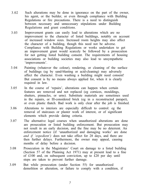- 3.02 Such alterations may be done in ignorance on the part of the owner, his agent, or the builder, or even through compliance with Building Regulations or fire precautions. There is a need to distinguish between necessary and unnecessary stipulations under Building Regulations and grant conditions.
- 3.03 Improvement grants can easily lead to alterations which are no improvement to the character of listed buildings, notably on account of increased window sizes. Increased room heights may also affect the character of a building, though this need not be adverse. Compliance with Building Regulations or works undertaken to get an improvement grant would scarcely be followed by a prosecution for not getting listed building consent. The requirements of housing associations or building societies may also lead to unsympathetic 'improvements'.
- 3.04 Painting (whatever the colour), rendering, or cleaning of the surface of buildings (eg by sand-blasting or acid-cleaning) may adversely affect the character. Even washing a building might need consent! But consent is by no means always applied for, when it is clearly required in law.
- 3.05 In the course of 'repairs', alterations can happen when certain features are removed and not replaced (eg cornices, mouldings, shutters, pinnacles, or urns). Substitute materials are sometimes used in the repairs, or Ill-considered brick (eg in a reconstructed parapet), or even plastic thatch. Bad work is only clear after the job is finished.
- 3.06 Alterations to interiors are especially difficult to control: eg the removal of staircases or plaster work of interest, or of significant elements which provide dating criteria.
- 3.07 The alternative legal courses when unauthorized alterations are done are prosecution or listed building enforcement. But prosecution may not result in an early decision, and the fine may be no deterrent. An enforcement notice (if 'unauthorized and damaging works' are done *and if 'expedient')* does not take effect for 28 days, and there are then further delays. Furthermore, the owner may appeal, causing months of delay before a decision.
- 3.08 Prosecution in the Magistrates' Court on damage to a listed building (Section 57 of the Planning Act 1971) may at present lead to a fine of £100 and, on subsequent conviction, up to £20 per day until steps are taken to prevent further damage.
- 3.09 But while prosecution (under Section 55) for unauthorized demolition or alteration, or failure to comply with a condition, if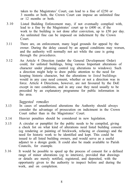taken to the Magistrates' Court, can lead to a fine of £250 or 3 months or both, the Crown Court can impose an unlimited fine or 12 months or both.

- 3.10 Listed Building Enforcement may, if not eventually complied with, lead to a fine by the Magistrates' court up to £400 or, if the work to the building is not done after conviction, up to £50 per day. An unlimited fine can be imposed on indictment by the Crown Court.
- 3.11 There are, on enforcement, many legal grounds for appeal by the owner. During the delay caused by an appeal conditions may worsen, and the authority will normally not act while the case is going through the procedures.
- 3.12 An Article 4 Direction (under the General Development Order) could, for unlisted buildings, bring various Important alterations of character under planning control (eg alterations to windows). Such a direction might help to draw public attention to the need for keeping historic character, but the alterations to *listed* buildings would in any case need consent, whether or not a direction was in force. Article 4 Directions, however, are not favoured by the DoE except in rare conditions, and in any case they need usually to be preceded by an explanatory programme for public information in the area.

- 3.13 In cases of unauthorized alterations the Authority should always consider the advantage of prosecution on indictment in the Crown Court rather than in the Magistrates' Court.
- 3.14 Heavier penalties should be considered in new legislation.
- 3.15 A circular or pamphlet for the public needs to be compiled, giving a check list on what kind of alterations need listed building consent (eg rendering or painting of brickwork, refacing or cleaning) and the need for historic work to be identified and kept. This could be issued to all listed building owners, and would serve as a useful adjunct to a design guide. It could also be made available to Parish Councils, for example.
- 3.16 It would be possible to speed up the process of consent for a defined range of minor alterations (eg to interiors), provided that drawings or details are merely notified, registered, and deposited, with the opportunity given to the authority to inspect before and during the work, and on completion.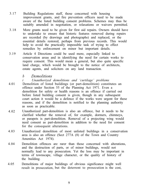- 3.17 Building Regulations staff, those concerned with housing improvement grants, and fire prevention officers need to be made aware of the listed building consent problems. Schemes may thus be suitably amended in negotiation, or relaxations or waivers permitted.
- 3.18 More grants need to be given for first aid repairs. Owners should have to undertake to ensure that historic features removed during repairs are recorded (by drawings and photographs) and replaced, or the essential details restored, perhaps from previous records. This would help to avoid the practically impossible task of trying to effect remedies by enforcement on minor but important details.
- 3.19 Article 4 Directions could be used more, especially linked to conservation areas and in identifying the need for certain works to require consent. This would mean a general, but also quite specific land charge, which would be brought to the notice of architects, estate agents, and solicitors on any land transaction.
	- *b Demolitions*
- 4.01 *i Unauthorized demolitions and 'curtilage' problems* Demolition of listed buildings (or part-demolition) constitutes an offence under Section 55 of the Planning Act 1971. Even a demolition for safety or health reasons is an offence if carried out before listed building consent is given, though in any subsequent court action it would be a defence if the works were urgent for these reasons, and if the demolition is notified to the planning authority as soon as practicable.
- 4.02 Unauthorized part-demolition is also an offence, but it needs to be clarified whether the removal of, for example, dormers, chimneys, or parapets is part-demolition. Removal of a projecting wing would need consent as part-demolition in addition to the need for consent for the consequent alterations.
- 4.03 Unauthorized demolition of most unlisted buildings in a conservation area is also an offence (Sect 277A (8) of the Town and Country Amenities Act 1974).
- 4.04 Demolition offences are rarer than those concerned with alterations, and the destruction of parts, or of minor buildings, would not normally lead to any prosecution. Yet the loss may be important in terms of townscape, village character, or the quality of history of the building.
- 4.05 Demolitions of major buildings of obvious significance might well result in prosecution, but the deterrent to prosecution is the cost,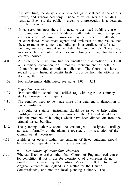the staff time, the delay, a risk of a negligible sentence if the case is proved, and general acrimony – none of which gets the building restored. Even so, the publicity given to a prosecution is a deterrent to other owners.

- 4.06 In conservation areas there is a need to get listed building consent for demolition of unlisted buildings, with certain minor exceptions (in these cases, *planning* permission may be needed for alterations or extensions). Most estate agents and architects do not realize that these restraints exist, nor that buildings in a curtilage of a listed building are also brought under listed building controls. There may, moreover, be particular difficulties in defining curtilage for farms or country houses.
- 4.07 At present the maximum fine for unauthorized demolitions is £250 on summary conviction, or 3 months imprisonment, or both, or 12 months or a fine or both on indictment. The Court must have regard to any financial benefit likely to accrue from the offence in deciding the fine.
- 4.08 For enforcement difficulties, see paras 3.07 3.11

*Suggested remedies*

- 'Part-demolition' should be clarified (eg with regard to chimney stacks, dormers, or parapets). 4.09
- 4.10 The penalties need to be made more of a deterrent to demolition or part-demolition.
- 4.11 A circular or statutory instrument should be issued to help define 'curtilage', should stress the provisions of the Act, and should deal with the problem of buildings which have been divided off from the original listed building.
- 4.12 The planning authority should be encouraged to designate 'curtilage' at least informally on the planning register, or by resolution of the Committee if necessary.
- 4.13 Buildings or objects within the curtilage of listed buildings should be identified separately when lists are revised.

#### *ii Demolition of redundant churches*

5.01 Whereas listed churches other than Church of England need consent for demolition if not in use for worship, C of E churches do not usually need consent. By the Pastoral Measure 1968 the future of Anglican churches in England is a matter for the Church Commissioners, and not the local planning authority. The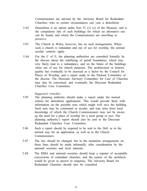Commissioners are advised by the Advisory Board for Redundant Churches, who in certain circumstances can veto a demolition.

- 5.02 Demolition is an option under Sect 51 (1) (c) of the Measure, and is the compulsory fate of such buildings for which no alternative use can be found, and which the Commissioners are unwilling to preserve.
- 5.03 The Church in Wales, however, has no such arrangements. When such a church is redundant and out of use for worship, the normal secular controls apply.
- 5.04 For the C of E, the planning authorities are consulted formally by the diocese about the redefining of parish boundaries, which may very likely lead to a redundancy, and on the future of the buildings when out of use for church purposes. The architectural or historic quality has eventually to be assessed as a factor by the Council for Places of Worship, and a report made to the Pastoral Committee of the diocese. The Diocesan Advisory Committee for Care of Churches may also be concerned, and eventually the Diocesan Redundant Churches Uses Committee.

- 5.05 The planning authority should make a report under the normal criteria for demolition applications. This would provide them with information on the possible uses which might well save the building. Such uses may be communal or secular, and may arise from local knowledge of which the Church Commissioners may not be aware, eg the need for a place of worship for a local group or sect. The planning authority's report should also be sent to the Diocesan Redundant Churches Uses Committee.
- 5.06 Such a report should be required to be sent to the DoE as in the normal way for an application, as well as to the Church Commissioners.
- 5.07 The law should be changed, but in the meantime arrangements on these lines should be made informally, after consideration by the national societies and local interests.
- 5.08 The RIBA and national societies should keep a register of acceptable conversions of redundant churches, and the names of the architects would be given in answer to enquiries. The Advisory Board for Redundant Churches should also be consulted.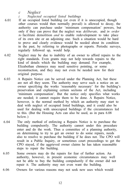*c Neglect*

*i Neglected occupied listed buildings*

- 6.01 If an occupied listed building (or even if it is unoccupied, though other courses would then normally prevail) is allowed to decay, the authority can purchase under 'minimum compensation' powers, but only if they can prove that the neglect was *deliberate,* and *in order to* facilitate demolition *and* to enable redevelopment to take place of its own site or an adjoining one. Such a situation would be hard to prove and clearly evidence would be needed about its condition in the past, by referring to photographs or reports. Periodic surveys, regularly followed up, would help.
- 6.02 Neglect may be due to inability of an owner to afford repairs to the right standards. Even grants may not help towards repairs to the kind of details which the building may demand. For example, Elizabethan chmneys may need sensitive pointing, or some reconstruction, and they may not even be needed now for their original purpose.
- 6.03 A Repairs Notice can be served under the Planning Act, but these are not all they seem. The authority may serve such a notice on an owner specifying the works 'reasonably necessary' for the building's preservation and explaining certain sections of the Act, including 'minimum compensation'. But the notice only specifies what works are needed; it cannot require them to be done. A Repairs Notice, however, is the normal method by which an authority may start to deal with neglect of occupied listed buildings, and it could also be used for dealing with unoccupied buildings if the circumstances led to this. (But the Housing Acts can also be used, as in para 6.08 below.)
- 6.04 The only method of enforcing a Repairs Notice is to purchase the building compulsorily. The authority cannot under this procedure enter and do the work. Thus a committee of a planning authority, on determining to try to get an owner to do some repairs, needs also to resolve to purchase the building if he does not. The CPO will result in a Public Inquiry, or sometimes court proceedings to get the CPO stayed, if the aggrieved owner claims he has taken reasonable steps to repair the building.
- 6.05 Some owners may do the repairs for fear of further action. An authority, however, in present economic circumstances may well not be able to buy the building compulsorily if the owner did not repair it. The authority may not even want the building.
- 6.06 Owners for various reasons may not seek new uses which would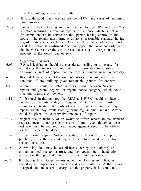give the building a new lease of life.

- 6.07 It is understood that there are not yet (1979) any cases of 'minimum compensation'.
- 6.08 Under the 1957 Housing Act (as amended by the 1969 Act Sect 72) a notice requiring 'substantial repairs' of a house which is not unfit for habitation can be served on the 'person having control of the house'. The repairs must bring it up to a 'reasonable standard, having regard to its age, character and locality'. If he does not do the work, or if the notice is confirmed after an appeal, the local authority can do the work, recover the cost, or set the cost as a charge on the property if the owner cannot pay.

- 6.09 Revised legislation should be considered, leading to a penalty for not doing the repairs required within a reasonable time, subject to an owner's right of appeal that the repairs required were unnecessary.
- 6.10 Revised legislation could allow compulsory purchase when the condition of any building gives reasonable grounds for concern.
- 6.11 A procedure could be determined for repairs between 'urgent' repairs and general neglect (or repairs notice category) which could thus put pressure on owners.
- 6.12 Professional institutions (eg the RICS and RIBA) could produce a booklet on the advisability of regular maintenance, with costed examples contrasting the costs of such maintenance and the major repairs which may result from ignoring regular small repairs. Advice could be given on 'conservative methods of repair.
- 6.13 Neglect due to inability of an owner to afford repairs to the standard required means a far greater measure of grant, even though a means test may also be required. Real encouragement needs to be offered for the repairs to be done.
- 6.14 If the normal Repairs Notice procedure is followed by compulsory purchase, the authority could agree to sell to a local preservation society, or a trust.
- 6.15 A revolving fund may be established either by the authority or through a local society or trust, and the repairs put in hand after acquisition through that fund. Properties must be saleable.
- 6.16 If action is taken to get repairs under the Housing Act 1957, as amended, an impecunious owner could agree with the Authority not to appeal, and to accept a charge on the property if he could not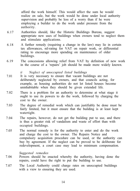afford the work himself. This would affect the sum he would realize on sale, but the work would be done under local authority supervision and probably be less of a worry than if he were employing a builder to do the work under pressure from the authority.

- 6.17 Authorities should, like the Historic Buildings Bureau, suggest appropriate new uses of buildings when owners tend to neglect them and stimulate applications.
- 6.18 A further remedy (requiring a change in the law) may lie in certain tax allowances, nil-rating for VAT on repair work, or differential rating to encourage more spending on maintenance of older buildings.
- 6.19 The concessions allowing relief from VAT by definition of new work in the course of a 'repairs' job should be made more widely known.

#### *ii Neglect of unoccupied listed buildings*

- 7.01 It is very necessary to ensure that vacant buildings are not deliberately neglected by owners, and that councils acting, for example, as housing authorities do not let listed houses become uninhabitable when they should be given extended life.
- 7.02 There is a problem for an authority to determine at what stage it ought to use its powers to do the work, followed by charging the cost to the owner.
- 7.03 The degree of remedial work which can justifiably be done must be fairly limited, but it must ensure that the building is at least kept watertight.
- 7.04 The repairs, however, do not get the building put to use, and there is thus a greater risk of vandalism and waste of effort than with occupied buildings.
- 7.05 The normal remedy is for the authority to enter and do the work and charge the cost to the owner. The Repairs Notice and compulsory acquisition procedure can be used, or the authority can buy by agreement. If the neglect can be proved to be deliberate for redevelopment, a court case may lead to minimum compensation.

- 7.06 Powers should be enacted whereby the authority, having done the repairs, could have the right to put the building to use.
- 7.07 The Local Authority could charge rates on unoccupied buildings with a view to ensuring they are used.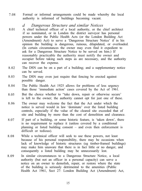7.08 Formal or informal arrangements could be made whereby the local authority is informed of buildings becoming vacant.

#### *d Dangerous Structure and similar Notices*

- 8.01 A chief technical officer of a local authority, or the chief architect if so nominated, or in London the district surveyor has personal powers under the Public Health Acts (or the London Building Act (Amendment) Act) to serve a 'Dangerous Structure Notice' if in his opinion the building is dangerous, ruinous, dilapidated, or overloaded. (In certain circumstances the owner may even find it expedient to ask for a Dangerous Structure Notice to be served on him.) If reasonably practicable the authority must notify the owner and occupier before taking such steps as are necessary, and the authority can recover the expense.
- 8.02 The DSN can be on a part of a building; and a supplementary notice can be served.
- 8.03 The DSN may even just require that fencing be erected against possible danger.
- 8.04 The Public Health Act 1925 allows for problems of less urgency than those 'immediate action' cases covered by the Act of 1961.
- 8.05 But the choice whether to "take down, repair or otherwise secure' is left to the owner; the authority cannot opt for just one of these.
- 8.06 The owner may welcome the fact that the Act under which the notice is served would in law 'dominate' over the listed building controls, especially if the value of the cleared site exceeded that of site and building by more than the cost of demolition and clearance.
- 8.07 If part of a building, or some historic feature, is 'taken down', there is no requirement to replace it (unless covered by a conditional planning or listed building consent – and even then enforcement is difficult or tedious).
- 8.08 While a technical officer will seek to use these powers, not least because of his personal responsibility, there may be occasions when lack of knowledge of historic structures (eg timber-framed buildings) may make him unaware that there is in fact little or no danger, and consequently a listed building may be unnecessarily lost.
- 8.09 In similar circumstances to a Dangerous Structure Notice, a local authority (but not an officer in a personal capacity) can serve a notice on an owner to demolish, repair, or restore where the state of the building is seriously detrimental to the amenities (Public Health Act 1961, Sect 27: London Building Act (Amendment) Act,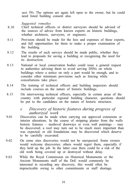sect 59). The options are again left open to the owner, but he could need listed building consent also.

*Suggested remedies*

- 8.10 Chief technical officers or district surveyors should be advised of the sources of advice from known experts on historic buildings, whether architects, surveyors, or engineers.
- 8.11 Provision should be made for the fees and expenses of these experts, and full opportunities for them to make a proper examination of the building.
- 8.12 The results of such surveys should be made public, whether they lead to proposals for saving a building or recognizing the need for its destruction.
- 8.13 National or local conservation bodies could issue a general request to authorities advising them to avoid serving DSNs on whole buildings where a notice on only a part would be enough, and to consider other minimum provisions such as fencing while consultations take place.
- 8.14 The training of technical officers and building inspectors should include courses on the nature of historic buildings.
- 8.15 On interviewing technical officers, especially in certain areas of the country with particular regional building character, questions should be put to the candidates on the nature of historic structures.

*e Discovery of historic features during progress of authorized work*

- 9.01 Discoveries can be made when carrying out approved extensions or interior alterations. In the course of stripping plaster from the walls historic features – medieval doorways or even wall paintings – may be discovered; a roof may turn out to be much more important than was expected; or old foundations may be discovered which deserve to be carefully excavated.
- 9.02 On some sites discoveries would not be unexpected. Some owners would welcome discoveries; others would regret them, especially if they held up the job. In the latter case there could be a risk of the old work being covered up or destroyed without delay.
- 9.03 While the Royal Commission on Historical Monuments or the Ancient Monuments staff of the DoE would commonly be interested in recording any discovery, this would often be impracticable owing to other commitments or staff shortage.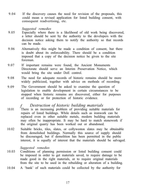9.04 If the discovery causes the need for revision of the proposals, this could mean a revised application for listed building consent, with consequent readvertising, etc.

#### *Suggested remedies*

- 9.05 Especially where there is a likelihood of old work being discovered, a letter should be sent by the authority to the developers with the decision notice asking them to notify the authority so that records can be made.
- 9.06 Alternatively this might be made a condition of consent, but there is doubt about its enforceability. There should be a condition imposed that a copy of the decision notice be given to the site foreman.
- 9.07 If important remains were found, the Ancient Monuments Directorate should serve an Interim Preservation Notice, which would bring the site under DoE control.
- 9.08 The need for adequate records of historic remains should be more widely publicized, together with advice on methods of recording.
- 9.09 The Government should be asked to examine the question of legislation to enable development in certain circumstances to be stopped when historic remains are discovered, either for purposes of recording or for protection of historic evidence.

#### *f Destruction of historic building materials*

- 10.01 There is an increasing problem of providing suitable materials for repairs of listed buildings. While details such as ironwork can be replaced even in other suitable metals, modern building materials may often be inappropriate. It may be hard to match stonework if the original quarry has been worked out or abandoned.
- 10.02 Suitable bricks, tiles, slates, or collyweston slates may be obtainable from demolished buildings. Normally this source of supply should be discouraged, but if demolition has been permitted in the public interest, it is equally of interest that the materials should be salvaged.

- 10.03 Conditions of planning permission or listed building consent could be imposed in order to get materials saved, to require damage to be made good in the right materials, or to require original materials from the site to be used in the rebuilding or alteration of a building.
- 10.04 A 'bank' of such materials could be collected by the authority for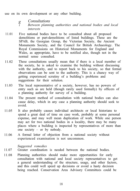use on its own development or any other building.

- *g Consultations i Between planning authorities and national bodies and local interests*
- 11.01 Five national bodies have to be consulted about all proposed demolitions or part-demolitions of listed buildings. These are the SPAB, the Georgian Group, the Victorian Society, the Ancient Monuments Society, and the Council for British Archaeology. The Royal Commissions on Historical Monuments for England and Wales, as appropriate, have to be notified also, though not in the normal sense consulted.
- 11.02 These consultations usually mean that if there is a local member of the society, he is asked to examine the building without discussing with the authority, and to report back to his society, so that formal observations can be sent to the authority. This is a chancy way of getting experienced scrutiny of a building's problems and suggestions for their solution.
- 11.03 The local representative of a society, however, has no powers of entry such as are held (though rarely used formally) by officers of a planning authority for survey of a building.
- 11.04 The present method of consultation with national bodies can also cause delay, which in any case a planning authority should seek to avoid.
- 11.05 It also probably causes individual architects or local historians to spend a great deal of time on case work, probably at some personal expense, and may well mean duplication of work. While one person may act for two national bodies in a locality, there may be many places where a building is inspected by representatives of more than one society – or by nobody.
- 11.06 A formal letter of objection from a national society without experienced examination is not uncommon.

- 11.07 Greater coordination is needed between the national bodies.
- 11.08 Planning authorities should make more opportunities for early consultation with national and local society representatives to get a general understanding of the structure, usage, and other factors, and this could well speed up decisions or avoid a hasty decision being reached. Conservation Area Advisory Committees could be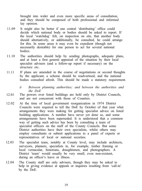brought into wider and even more specific areas of consultation, and they should be composed of both professional and informed lay opinion.

- 11.09 It might also be better if one central 'distributing' office could decide which national body or bodies should be asked to report. If the local 'watchdog' felt, on inspection on site, that another body should alternatively, or additionally, be consulted, he could arrange for this. In some areas it may even be expedient (though not necessarily desirable) for one person to act for several national bodies.
- 11.10 The authorities should help by sending photographs, adequate plans, and at least a first general appraisal of the situation by their local specialist advisers (and a follow-up report if necessary) on the structure etc.
- 11.11 If plans are amended in the course of negotiations or second thoughts by the applicant, a scheme should be readvertised, and the national bodies consulted afresh. This should be made a statutory requirement.
	- *ii Between planning authorities; and between the authorities and the DoE*
- 12.01 The powers over listed buildings are held only by District Councils, and are not concurrent with those of Counties.
- 12.02 At the time of local government reorganization in 1974 District Councils were required to tell the DoE by October of that year what arrangements they were making for getting specialist advice on listed building applications. A number have never yet done so, and some arrangements have been superseded. It is understood that a common way of getting such advice has been by consulting a team of specialist officers on the staff of the County Councils. But some District authorities have their own specialists, whilst others may employ consultants or submit applications to a panel of experts or representatives of local or national societies.
- 12.03 The specialist team, notably at County level, may include architects, surveyors, planners, specialists in, for example, timber framing or local vernacular, historians, draughtsmen, and photographers. A District 'team' would usually be very small, even non-existent, during an officer's leave or illness.
- 12.04 The County staff are only advisers, though they may be asked to help in giving evidence at appeals or inquiries resulting from 'call-in' by the DoE.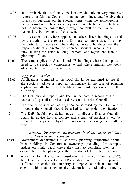- 12.05 It is probable that a County specialist would only in very rare cases report to a District Council's planning committee, and be able thus to answer questions on the special issues when the application is being considered. Thus cases may occur in which the full facts may not be before the committee, through no fault of the Council responsible but owing to the system.
- 12.06 It is essential that where applications affect listed buildings owned by the authority, the reports to DoE are comprehensive. This may be particularly necessary where the authority's buildings are the responsibility of a director of technical services, who is less familiar with the listed building 'climate' and regulations than a planning officer.
- 12.07 The same applies to Grade I and II\* buildings where the reports need to be specially comprehensive and where internal alterations of character need particular care.

- 12.08 Applications submitted to the DoE should be examined to see if the specialist advice is reported, particularly in the case of planning applications affecting listed buildings and buildings owned by the authority.
- 12.09 The DoE should prepare, and keep up to date, a record of the sources of specialist advice used by each District Council.
- 12.10 The quality of such advice ought to be assessed by the DoE, and if in doubt the Council should be asked to reconsider the situation.
- 12.11 The DoE should have default powers to direct a District Council to obtain its advice from a comprehensive team of specialists held by a County or a panel, subject to a review of the arrangements after a time.
	- *iii Between Government departments involving listed buildings in Government ownership*
- 13.01 Government departments must notify planning authorities about listed buildings in Government ownership (including, for example, bridges on trunk roads) where they wish to demolish, alter, or extend them. The planning authorities do not have the final say.
- 13.02 When the formal stage of consultation is reached' (Circular 7/77), the Department sends to the LPA a statement of their proposals 'sufficient to enable the authority to appreciate their nature and extent', with plans showing the relationship to adjoining property.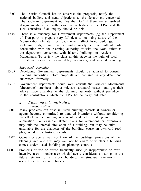- 13.03 The District Council has to advertise the proposals, notify the national bodies, and send objections to the department concerned. The applicant department notifies the DoE if there are unresolved disagreements, either with conservation bodies or the LPA, and the DoE considers if an inquiry should be held.
- 13.04 There is a tendency for Government departments (eg the Department of Transport) to prepare very full details, not being aware of the 'conservation climate', for roads which affect listed buildings, including bridges, and this can unfortunately be done without early consultation with the planning authority or with the DoE, either as the department concerned with historic buildings or Ancient Monuments. To review the plans at this stage in the light of local or national views can cause delay, acrimony, and misunderstanding.

#### *Suggested remedies*

- 13.05 Developing Government departments should be advised to consult planning authorities before proposals are prepared in any detail and submitted formally.
- 13.06 Government departments could well consult the Ancient Monuments Directorate's architects about relevant structural issues, and get their advice made available to the planning authority without prejudice to the consultations which the LPA has to carry out later.

# *h Planning administration*

#### *i Pre-application*

- 14.01 Many problems can arise in listed building controls if owners or agents become committed to detailed intentions without considering the effect on the building as a whole and before making an application. For example, sketch plans for alterations or extensions may suit the internal circulation of a building, but may be quite unsuitable for the character of the building, cause an awkward roof plan, or destroy historic details.
- 14.02 Owners or agents may not know of the 'curtilage' provisions of the Planning Act, and thus may well not be aware of whether a building comes under listed building or planning controls.
- 14.03 Problems of use or disuse frequently arise (ie inappropriate or overintensive uses or under-use) which have a considerable bearing on the future retention of a historic building, the structural alterations needed, or its general character.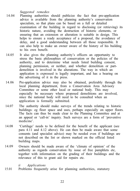*Suggested remedies*

- 14.04 Planning authorities should publicize the fact that pre-application advice is available from the planning authority's conservation specialists, so that plans can be based on a full or detailed examination of the building in regard to disclosing (or retrieving) its historic nature, avoiding the destruction of historic elements, or ensuring that an extension or alteration is suitable in design. This helps to ensure a ready acceptance of a proposal, the avoidance of delay, and a good understanding between all those responsible. It can also help to make an owner aware of the history of his building to his own benefit.
- 14.05 It also gives the planning authority's officers an opportunity to stress the basic philosophies of conservation or the policies of the authority, and to determine what needs listed building consent, planning permission, or neither, and whether demolition or partdemolition is involved in the alterations. The way in which an application is expressed is legally important, and has a bearing on the advertising of it in the press.
- 14.06 Pre-application advice may also be obtained, preferably through the local planning department, from a Conservation Area Advisory Committee or some other local or national body. This may especially be necessary where proposed demolitions are involved, since the national body will need to be consulted when an application is formally submitted.
- 14.07 The authority should make surveys of the trends relating to historic buildings: eg floor space and uses, perhaps especially on upper floors. The facts can thus be made clear to the Planning Committee and at an appeal or 'call-in' inquiry. Such surveys are a form of 'preventive medicine'.
- 14.08 'Curtilage' needs to be defined for the benefit of the applicant (see para 4.11 and 4.12 above). He can then be made aware that some consents (and specialist advice) may be needed even if buildings are not described on the list or shown marked on the official listed building maps.
- 14.09 Owners should be made aware of the 'climate of opinion' of the authority as regards conservation by issue of free pamphlets etc, together with information on the grading of their buildings and the relevance of this to grant aid for repairs etc.

#### *ii Applications*

15.01 Problems frequently arise for planning authorities, statutory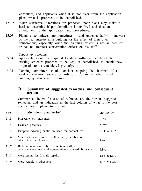consultees, and applicants when it is not clear from the application plans what is proposed to be demolished.

- 15.02 When substantial alterations are proposed, poor plans may make it hard to determine if part-demolition is involved and thus an amendment to the application and procedures.
- 15.03 Planning committees are sometimes and understandably unaware of the real interest in a building, or the effect of their own deliberations, especially when the planning officer is not an architect or has no architect conservation officer on his staff.

#### *Suggested remedies*

- 15.04 Applicants should be required to show sufficient details of the existing structure proposed to be kept or demolished, to enable new proposals to be considered properly.
- 15.05 Planning committees should consider coopting the chairman of a local conservation society or Advisory Committee when listed building questions are discussed.

#### **D Summary of suggested remedies and consequent action**

Summarized below for ease of reference are the various suggested remedies, and an indication in the last column of what is the best agency for implementing them.

| para | Alterations, unauthorized<br>a                                                                                 | Action by  |
|------|----------------------------------------------------------------------------------------------------------------|------------|
| 3.13 | Prosecute on indictment                                                                                        | LPA        |
| 3.14 | Heavier penalties                                                                                              | Govt       |
| 3.15 | Pamphlet advising public on need for consent etc.                                                              | DoE or LPA |
| 3.16 | Minor alterations to be dealt with by notification<br>rather than application                                  | Govt       |
| 3.17 | Building regulations, fire prevention staff, etc to<br>be made more aware of conservation and need for waivers | LPA.       |
| 3.18 | More grants for first-aid repairs                                                                              | DoE & LPA  |
| 3.19 | More Article 4 Directions                                                                                      | LPA & DoE  |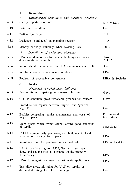Clarify 'part-demolition' Deterrent penalties Define 'curtilage' Identify curtilage buildings when revising lists Designate 'curtilages' on planning register *i i Demolition of redundant churches* LPA should report as for secular buildings and other denominations' churches Report should be sent to Church Commissioners & DoE Similar informal arrangements as above Register of acceptable conversions **c Neglect** *i Neglected occupied listed buildings* Penalty for not repairing in a reasonable time CPO if condition gives reasonable grounds for concern Procedure for repairs between 'urgent' and 'general neglect' Booklet comparing regular maintenance and costs of major repairs More grants when owner cannot afford good standards of repair If LPA compulsorily purchases, sell buildings to local preservation society for repairs Revolving fund for purchase, repair, and sale LAs to use Housing Act 1957, Sect 9 to get repairs done, and set the cost as a charge on the property if necessary LPAs to suggest new uses and stimulate applications i 4.09 4.10 4.11 4.12 4.13 5.05 5.06 5.07 5.08 6.09 6.10 6.11 6.12 6.13 6.14 6.15 6.16 6.17 *Unauthorized demolitions and 'curtilage' problems*  $IPA & DoF$ Govt DoE LPA DoE Govt & LPA Govt LPA RIBA & Societies Govt Govt Govt Professional institutions Govt & LPA LPA LPA or local trust LPA LPA

**b**

**Demolitions**

Tax allowances, nil-rating for VAT on repairs or differential rating for older buildings 6.18 Govt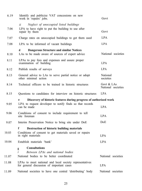| 6.19  | Identify and publicize VAT concessions on new<br>work in 'repairs' jobs.                                | Govt                             |
|-------|---------------------------------------------------------------------------------------------------------|----------------------------------|
|       | Neglect of unoccupied listed buildings<br>ii                                                            |                                  |
| 7.06  | LPA to have right to put the building to use after<br>repair by them                                    | Govt                             |
| 7.07  | Charge rates on unoccupied buildings to get them used                                                   | LPA                              |
| 7.08  | LPA to be informed of vacant buildings                                                                  | LPA                              |
| 8.10  | d<br><b>Dangerous Structure and similar Notices</b><br>LAs to be made aware of sources of expert advice | National societies               |
| 8.11  | LPAs to pay fees and expenses and assure proper<br>examination of building                              | LPA                              |
| 8.12  | Publish results of surveys                                                                              | LPA.                             |
| 8.13  | General advice to LAs to serve partial notice or adopt<br>other minimal action                          | National<br>societies            |
| 8.14  | Technical officers to be trained in historic structures                                                 | Govt & LAs<br>National societies |
| 8.15  | Questions to candidates for interview on historic structures                                            | <b>LPA</b>                       |
|       | Discovery of historic features during progress of authorized work<br>e                                  |                                  |
| 9.05  | LPA to request developer to notify finds so that records<br>can be made                                 | LPA                              |
| 9.06  | Conditions of consent to include requirement to tell<br>site foreman                                    | LPA.                             |
| 9.07  | Interim Preservation Notice to bring site under DoE                                                     | DoE.                             |
|       | f<br>Destruction of historic building materials                                                         |                                  |
| 10.03 | Conditions of consent to get materials saved or repairs<br>in right materials                           | LPA.                             |
| 10.04 | Establish materials 'bank'                                                                              | <b>LPA</b>                       |
|       | <b>Consultations</b><br>g<br>i<br>Between LPAs and national bodies                                      |                                  |
| 11.07 | National bodies to be better coordinated                                                                | National societies               |
| 11.08 | LPAs to meet national and local society representatives<br>for general discussion of important cases    | LPA                              |
| 11.09 | National societies to have one central 'distributing' body                                              | National societies               |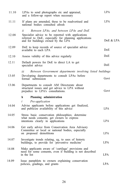| 11.10 | LPAs to send photographs etc and appraisal,<br>and a follow-up report when necessary                                                                                                              | LPA        |
|-------|---------------------------------------------------------------------------------------------------------------------------------------------------------------------------------------------------|------------|
| 11.11 | If plans are amended, these to be readvertised and<br>national bodies consulted afresh                                                                                                            | LPA        |
| 12.08 | Between LPAs, and between LPAs and DoE<br>ii<br>Specialist advice to be reported with applications<br>referred to DoE, especially for planning applications<br>and for buildings owned by the LPA | DoE & LPA  |
| 12.09 | DoE to keep records of source of specialist advice<br>available to each LPA                                                                                                                       | DoE        |
| 12.10 | Assess validity of this advice regularly                                                                                                                                                          | DoE        |
| 12.11 | Default powers for DoE to direct LA to get<br>specialist advice                                                                                                                                   | DoE.       |
|       | Between Government departments involving listed buildings<br>iii                                                                                                                                  |            |
| 13.05 | Developing departments to consult LPAs before<br>formal submission                                                                                                                                | Govt       |
| 13.06 | Departments to consult AM Directorate about<br>structural issues and get advice to LPA without<br>prejudice to LPA's consultations.                                                               | Govt       |
|       | h<br>Planning administration                                                                                                                                                                      |            |
|       | i<br>Pre-application                                                                                                                                                                              |            |
| 14.04 | Advise applicants before applications get finalized,<br>and publicize availability of this advice                                                                                                 | LPA        |
| 14.05 | Stress basic conservation philosophies; determine<br>what needs consents; get owners to express<br>intentions clearly in applications                                                             | LPA        |
| 14.06 | Get early advice from Conservation Area Advisory<br>Committee or local or national bodies, especially<br>on proposed demolitions                                                                  | LPA        |
| 14.07 | Investigate trends relating, eg, to uses of historic<br>buildings, to provide for 'preventive medicine'                                                                                           | <b>LPA</b> |
| 14.08 | Make applicants aware of 'curtilage' provisions and<br>need for some consents, even if building is not described<br>in the list                                                                   | LPA        |
| 14.09 | Issue pamphlets to owners explaining conservation<br>policies, gradings, and grants                                                                                                               | LPA.       |